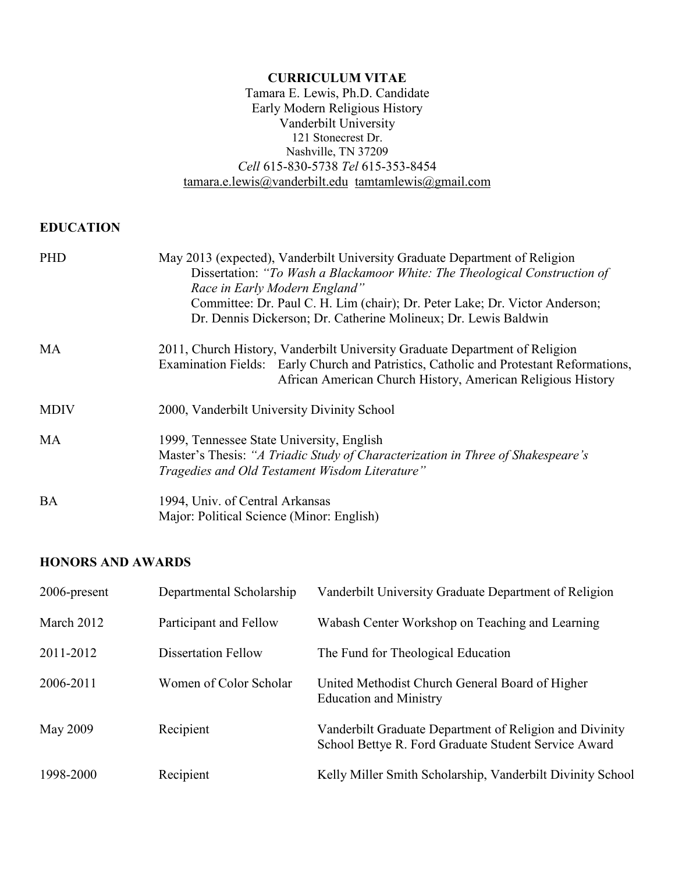#### **CURRICULUM VITAE**  Tamara E. Lewis, Ph.D. Candidate Early Modern Religious History Vanderbilt University 121 Stonecrest Dr. Nashville, TN 37209 *Cell* 615-830-5738 *Tel* 615-353-8454 [tamara.e.lewis@vanderbilt.edu](mailto:tamara.e.lewis@vanderbilt.edu) [tamtamlewis@gmail.com](mailto:tamtamlewis@gmail.com)

# **EDUCATION**

| <b>PHD</b>  | May 2013 (expected), Vanderbilt University Graduate Department of Religion<br>Dissertation: "To Wash a Blackamoor White: The Theological Construction of<br>Race in Early Modern England"<br>Committee: Dr. Paul C. H. Lim (chair); Dr. Peter Lake; Dr. Victor Anderson;<br>Dr. Dennis Dickerson; Dr. Catherine Molineux; Dr. Lewis Baldwin |  |  |
|-------------|---------------------------------------------------------------------------------------------------------------------------------------------------------------------------------------------------------------------------------------------------------------------------------------------------------------------------------------------|--|--|
| <b>MA</b>   | 2011, Church History, Vanderbilt University Graduate Department of Religion<br>Examination Fields: Early Church and Patristics, Catholic and Protestant Reformations,<br>African American Church History, American Religious History                                                                                                        |  |  |
| <b>MDIV</b> | 2000, Vanderbilt University Divinity School                                                                                                                                                                                                                                                                                                 |  |  |
| MA          | 1999, Tennessee State University, English<br>Master's Thesis: "A Triadic Study of Characterization in Three of Shakespeare's<br>Tragedies and Old Testament Wisdom Literature"                                                                                                                                                              |  |  |
| <b>BA</b>   | 1994, Univ. of Central Arkansas<br>Major: Political Science (Minor: English)                                                                                                                                                                                                                                                                |  |  |

## **HONORS AND AWARDS**

| 2006-present | Departmental Scholarship   | Vanderbilt University Graduate Department of Religion                                                           |
|--------------|----------------------------|-----------------------------------------------------------------------------------------------------------------|
| March 2012   | Participant and Fellow     | Wabash Center Workshop on Teaching and Learning                                                                 |
| 2011-2012    | <b>Dissertation Fellow</b> | The Fund for Theological Education                                                                              |
| 2006-2011    | Women of Color Scholar     | United Methodist Church General Board of Higher<br><b>Education and Ministry</b>                                |
| May 2009     | Recipient                  | Vanderbilt Graduate Department of Religion and Divinity<br>School Bettye R. Ford Graduate Student Service Award |
| 1998-2000    | Recipient                  | Kelly Miller Smith Scholarship, Vanderbilt Divinity School                                                      |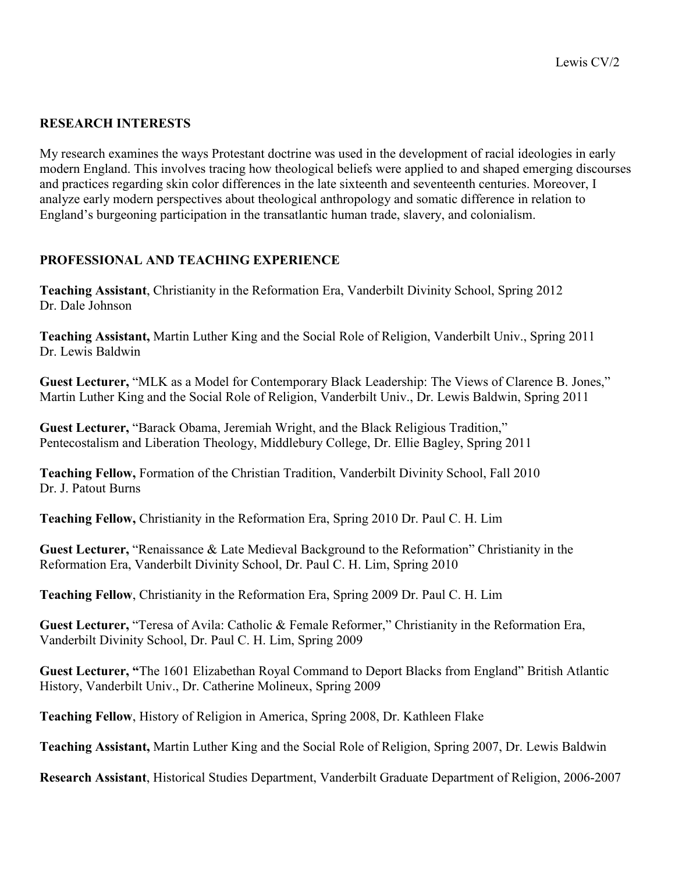## **RESEARCH INTERESTS**

My research examines the ways Protestant doctrine was used in the development of racial ideologies in early modern England. This involves tracing how theological beliefs were applied to and shaped emerging discourses and practices regarding skin color differences in the late sixteenth and seventeenth centuries. Moreover, I analyze early modern perspectives about theological anthropology and somatic difference in relation to England's burgeoning participation in the transatlantic human trade, slavery, and colonialism.

# **PROFESSIONAL AND TEACHING EXPERIENCE**

**Teaching Assistant**, Christianity in the Reformation Era, Vanderbilt Divinity School, Spring 2012 Dr. Dale Johnson

**Teaching Assistant,** Martin Luther King and the Social Role of Religion, Vanderbilt Univ., Spring 2011 Dr. Lewis Baldwin

**Guest Lecturer,** "MLK as a Model for Contemporary Black Leadership: The Views of Clarence B. Jones," Martin Luther King and the Social Role of Religion, Vanderbilt Univ., Dr. Lewis Baldwin, Spring 2011

**Guest Lecturer,** "Barack Obama, Jeremiah Wright, and the Black Religious Tradition," Pentecostalism and Liberation Theology, Middlebury College, Dr. Ellie Bagley, Spring 2011

**Teaching Fellow,** Formation of the Christian Tradition, Vanderbilt Divinity School, Fall 2010 Dr. J. Patout Burns

**Teaching Fellow,** Christianity in the Reformation Era, Spring 2010 Dr. Paul C. H. Lim

**Guest Lecturer,** "Renaissance & Late Medieval Background to the Reformation" Christianity in the Reformation Era, Vanderbilt Divinity School, Dr. Paul C. H. Lim, Spring 2010

**Teaching Fellow**, Christianity in the Reformation Era, Spring 2009 Dr. Paul C. H. Lim

**Guest Lecturer,** "Teresa of Avila: Catholic & Female Reformer," Christianity in the Reformation Era, Vanderbilt Divinity School, Dr. Paul C. H. Lim, Spring 2009

**Guest Lecturer, "**The 1601 Elizabethan Royal Command to Deport Blacks from England" British Atlantic History, Vanderbilt Univ., Dr. Catherine Molineux, Spring 2009

**Teaching Fellow**, History of Religion in America, Spring 2008, Dr. Kathleen Flake

**Teaching Assistant,** Martin Luther King and the Social Role of Religion, Spring 2007, Dr. Lewis Baldwin

**Research Assistant**, Historical Studies Department, Vanderbilt Graduate Department of Religion, 2006-2007